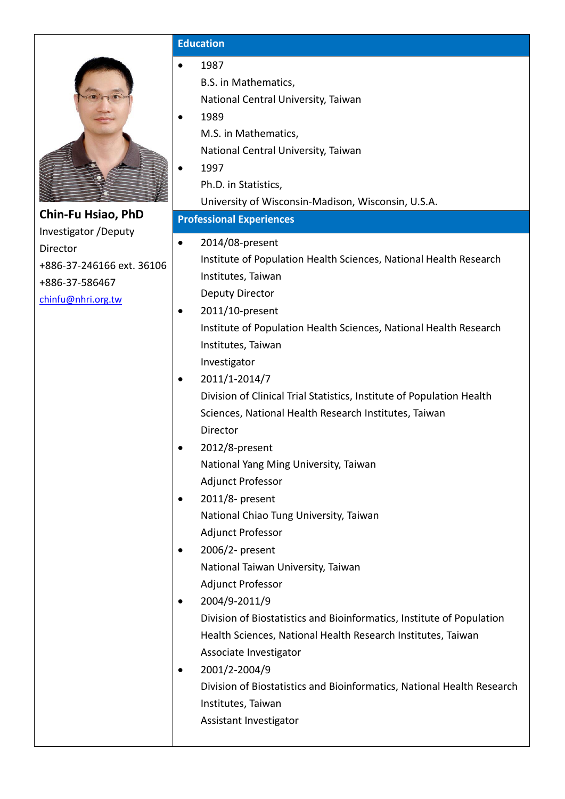

# **Chin-Fu Hsiao, PhD** Investigator /Deputy Director +886-37-246166 ext. 36106 +886-37-586467

[chinfu@nhri.org.tw](mailto:chinfu@nhri.org.tw)

# **Education**

- 1987
	- B.S. in Mathematics,
	- National Central University, Taiwan
- 1989 M.S. in Mathematics,
	- National Central University, Taiwan
- 1997
	- Ph.D. in Statistics,
	- University of Wisconsin-Madison, Wisconsin, U.S.A.
- **Professional Experiences** • 2014/08-present Institute of Population Health Sciences, National Health Research Institutes, Taiwan Deputy Director
- 2011/10-present Institute of Population Health Sciences, National Health Research Institutes, Taiwan Investigator
- $\bullet$  2011/1-2014/7 Division of Clinical Trial Statistics, Institute of Population Health Sciences, National Health Research Institutes, Taiwan Director
- 2012/8-present National Yang Ming University, Taiwan Adjunct Professor
- $\bullet$  2011/8- present National Chiao Tung University, Taiwan Adjunct Professor
- $\bullet$  2006/2- present National Taiwan University, Taiwan Adjunct Professor
- $\bullet$  2004/9-2011/9 Division of Biostatistics and Bioinformatics, Institute of Population Health Sciences, National Health Research Institutes, Taiwan Associate Investigator
- $\bullet$  2001/2-2004/9 Division of Biostatistics and Bioinformatics, National Health Research Institutes, Taiwan Assistant Investigator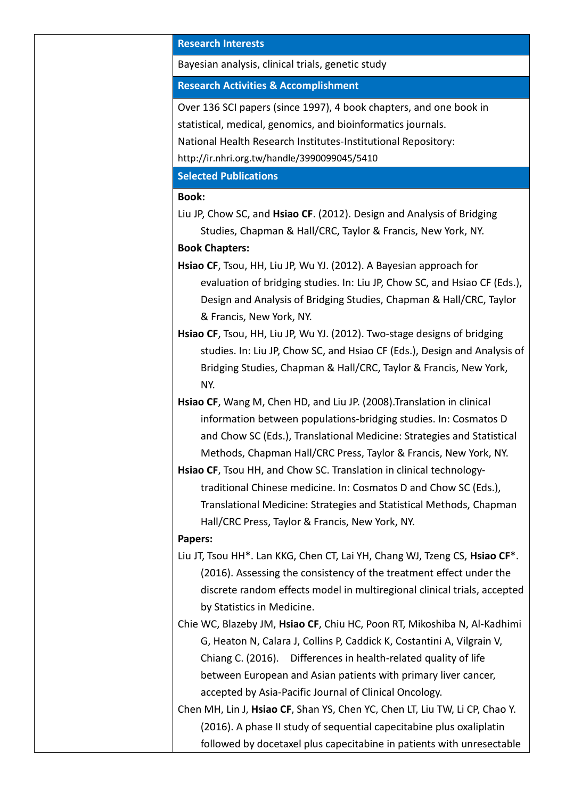## **Research Interests**

Bayesian analysis, clinical trials, genetic study

#### **Research Activities & Accomplishment**

Over 136 SCI papers (since 1997), 4 book chapters, and one book in statistical, medical, genomics, and bioinformatics journals. National Health Research Institutes-Institutional Repository: http://ir.nhri.org.tw/handle/3990099045/5410

#### **Selected Publications**

#### **Book:**

Liu JP, Chow SC, and **Hsiao CF**. (2012). Design and Analysis of Bridging Studies, Chapman & Hall/CRC, Taylor & Francis, New York, NY. **Book Chapters:**

- **Hsiao CF**, Tsou, HH, Liu JP, Wu YJ. (2012). A Bayesian approach for evaluation of bridging studies. In: Liu JP, Chow SC, and Hsiao CF (Eds.), Design and Analysis of Bridging Studies, Chapman & Hall/CRC, Taylor & Francis, New York, NY.
- **Hsiao CF**, Tsou, HH, Liu JP, Wu YJ. (2012). Two-stage designs of bridging studies. In: Liu JP, Chow SC, and Hsiao CF (Eds.), Design and Analysis of Bridging Studies, Chapman & Hall/CRC, Taylor & Francis, New York, NY.
- **Hsiao CF**, Wang M, Chen HD, and Liu JP. (2008).Translation in clinical information between populations-bridging studies. In: Cosmatos D and Chow SC (Eds.), Translational Medicine: Strategies and Statistical Methods, Chapman Hall/CRC Press, Taylor & Francis, New York, NY.
- **Hsiao CF**, Tsou HH, and Chow SC. Translation in clinical technologytraditional Chinese medicine. In: Cosmatos D and Chow SC (Eds.), Translational Medicine: Strategies and Statistical Methods, Chapman Hall/CRC Press, Taylor & Francis, New York, NY.

## **Papers:**

Liu JT, Tsou HH\*. Lan KKG, Chen CT, Lai YH, Chang WJ, Tzeng CS, **Hsiao CF**\*. (2016). Assessing the consistency of the treatment effect under the discrete random effects model in multiregional clinical trials, accepted by Statistics in Medicine.

Chie WC, Blazeby JM, **Hsiao CF**, Chiu HC, Poon RT, Mikoshiba N, Al-Kadhimi G, Heaton N, Calara J, Collins P, Caddick K, Costantini A, Vilgrain V, Chiang C. (2016). Differences in health-related quality of life between European and Asian patients with primary liver cancer, accepted by Asia-Pacific Journal of Clinical Oncology.

Chen MH, Lin J, **Hsiao CF**, Shan YS, Chen YC, Chen LT, Liu TW, Li CP, Chao Y. (2016). A phase II study of sequential capecitabine plus oxaliplatin followed by docetaxel plus capecitabine in patients with unresectable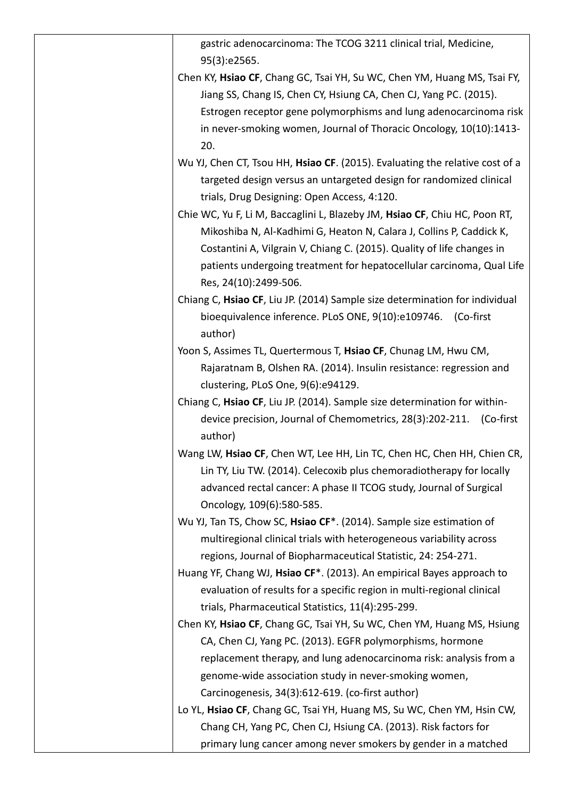| gastric adenocarcinoma: The TCOG 3211 clinical trial, Medicine,                    |
|------------------------------------------------------------------------------------|
| 95(3):e2565.                                                                       |
| Chen KY, Hsiao CF, Chang GC, Tsai YH, Su WC, Chen YM, Huang MS, Tsai FY,           |
| Jiang SS, Chang IS, Chen CY, Hsiung CA, Chen CJ, Yang PC. (2015).                  |
| Estrogen receptor gene polymorphisms and lung adenocarcinoma risk                  |
| in never-smoking women, Journal of Thoracic Oncology, 10(10):1413-                 |
| 20.                                                                                |
| Wu YJ, Chen CT, Tsou HH, Hsiao CF. (2015). Evaluating the relative cost of a       |
| targeted design versus an untargeted design for randomized clinical                |
| trials, Drug Designing: Open Access, 4:120.                                        |
| Chie WC, Yu F, Li M, Baccaglini L, Blazeby JM, Hsiao CF, Chiu HC, Poon RT,         |
| Mikoshiba N, Al-Kadhimi G, Heaton N, Calara J, Collins P, Caddick K,               |
| Costantini A, Vilgrain V, Chiang C. (2015). Quality of life changes in             |
| patients undergoing treatment for hepatocellular carcinoma, Qual Life              |
| Res, 24(10):2499-506.                                                              |
| Chiang C, Hsiao CF, Liu JP. (2014) Sample size determination for individual        |
| bioequivalence inference. PLoS ONE, 9(10):e109746. (Co-first                       |
| author)                                                                            |
| Yoon S, Assimes TL, Quertermous T, Hsiao CF, Chunag LM, Hwu CM,                    |
| Rajaratnam B, Olshen RA. (2014). Insulin resistance: regression and                |
| clustering, PLoS One, 9(6):e94129.                                                 |
| Chiang C, Hsiao CF, Liu JP. (2014). Sample size determination for within-          |
| device precision, Journal of Chemometrics, 28(3):202-211. (Co-first                |
| author)                                                                            |
| Wang LW, Hsiao CF, Chen WT, Lee HH, Lin TC, Chen HC, Chen HH, Chien CR,            |
| Lin TY, Liu TW. (2014). Celecoxib plus chemoradiotherapy for locally               |
| advanced rectal cancer: A phase II TCOG study, Journal of Surgical                 |
| Oncology, 109(6):580-585.                                                          |
| Wu YJ, Tan TS, Chow SC, Hsiao CF*. (2014). Sample size estimation of               |
| multiregional clinical trials with heterogeneous variability across                |
| regions, Journal of Biopharmaceutical Statistic, 24: 254-271.                      |
| Huang YF, Chang WJ, Hsiao CF <sup>*</sup> . (2013). An empirical Bayes approach to |
| evaluation of results for a specific region in multi-regional clinical             |
| trials, Pharmaceutical Statistics, 11(4):295-299.                                  |
| Chen KY, Hsiao CF, Chang GC, Tsai YH, Su WC, Chen YM, Huang MS, Hsiung             |
| CA, Chen CJ, Yang PC. (2013). EGFR polymorphisms, hormone                          |
| replacement therapy, and lung adenocarcinoma risk: analysis from a                 |
| genome-wide association study in never-smoking women,                              |
| Carcinogenesis, 34(3):612-619. (co-first author)                                   |
| Lo YL, Hsiao CF, Chang GC, Tsai YH, Huang MS, Su WC, Chen YM, Hsin CW,             |
| Chang CH, Yang PC, Chen CJ, Hsiung CA. (2013). Risk factors for                    |
| primary lung cancer among never smokers by gender in a matched                     |
|                                                                                    |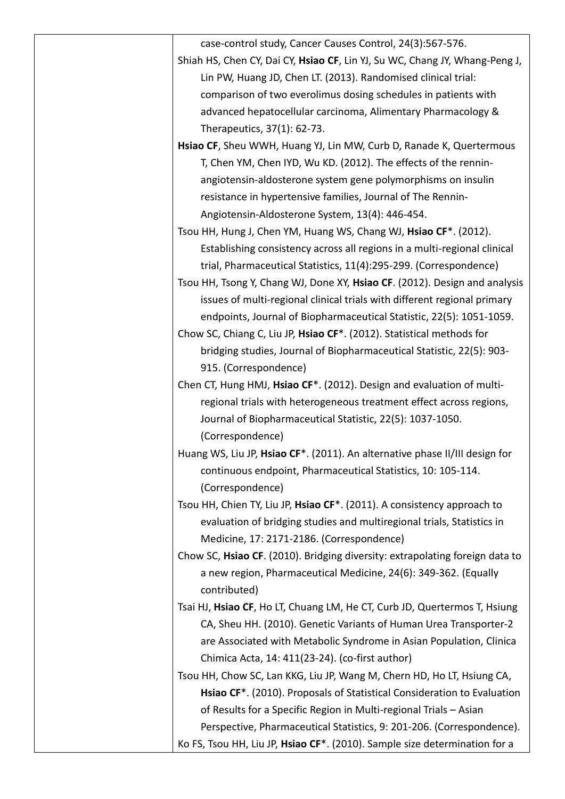| case-control study, Cancer Causes Control, 24(3):567-576.                            |
|--------------------------------------------------------------------------------------|
| Shiah HS, Chen CY, Dai CY, Hsiao CF, Lin YJ, Su WC, Chang JY, Whang-Peng J,          |
| Lin PW, Huang JD, Chen LT. (2013). Randomised clinical trial:                        |
| comparison of two everolimus dosing schedules in patients with                       |
| advanced hepatocellular carcinoma, Alimentary Pharmacology &                         |
| Therapeutics, 37(1): 62-73.                                                          |
| Hsiao CF, Sheu WWH, Huang YJ, Lin MW, Curb D, Ranade K, Quertermous                  |
| T, Chen YM, Chen IYD, Wu KD. (2012). The effects of the rennin-                      |
| angiotensin-aldosterone system gene polymorphisms on insulin                         |
| resistance in hypertensive families, Journal of The Rennin-                          |
| Angiotensin-Aldosterone System, 13(4): 446-454.                                      |
| Tsou HH, Hung J, Chen YM, Huang WS, Chang WJ, Hsiao CF*. (2012).                     |
| Establishing consistency across all regions in a multi-regional clinical             |
| trial, Pharmaceutical Statistics, 11(4):295-299. (Correspondence)                    |
| Tsou HH, Tsong Y, Chang WJ, Done XY, Hsiao CF. (2012). Design and analysis           |
| issues of multi-regional clinical trials with different regional primary             |
| endpoints, Journal of Biopharmaceutical Statistic, 22(5): 1051-1059.                 |
| Chow SC, Chiang C, Liu JP, Hsiao CF*. (2012). Statistical methods for                |
| bridging studies, Journal of Biopharmaceutical Statistic, 22(5): 903-                |
| 915. (Correspondence)                                                                |
| Chen CT, Hung HMJ, Hsiao CF*. (2012). Design and evaluation of multi-                |
| regional trials with heterogeneous treatment effect across regions,                  |
| Journal of Biopharmaceutical Statistic, 22(5): 1037-1050.                            |
| (Correspondence)                                                                     |
| Huang WS, Liu JP, Hsiao CF*. (2011). An alternative phase II/III design for          |
| continuous endpoint, Pharmaceutical Statistics, 10: 105-114.                         |
| (Correspondence)                                                                     |
| Tsou HH, Chien TY, Liu JP, Hsiao CF <sup>*</sup> . (2011). A consistency approach to |
| evaluation of bridging studies and multiregional trials, Statistics in               |
| Medicine, 17: 2171-2186. (Correspondence)                                            |
| Chow SC, Hsiao CF. (2010). Bridging diversity: extrapolating foreign data to         |
| a new region, Pharmaceutical Medicine, 24(6): 349-362. (Equally                      |
| contributed)                                                                         |
| Tsai HJ, Hsiao CF, Ho LT, Chuang LM, He CT, Curb JD, Quertermos T, Hsiung            |
| CA, Sheu HH. (2010). Genetic Variants of Human Urea Transporter-2                    |
| are Associated with Metabolic Syndrome in Asian Population, Clinica                  |
| Chimica Acta, 14: 411(23-24). (co-first author)                                      |
| Tsou HH, Chow SC, Lan KKG, Liu JP, Wang M, Chern HD, Ho LT, Hsiung CA,               |
| Hsiao CF <sup>*</sup> . (2010). Proposals of Statistical Consideration to Evaluation |
| of Results for a Specific Region in Multi-regional Trials - Asian                    |
| Perspective, Pharmaceutical Statistics, 9: 201-206. (Correspondence).                |
| Ko FS, Tsou HH, Liu JP, Hsiao CF*. (2010). Sample size determination for a           |
|                                                                                      |